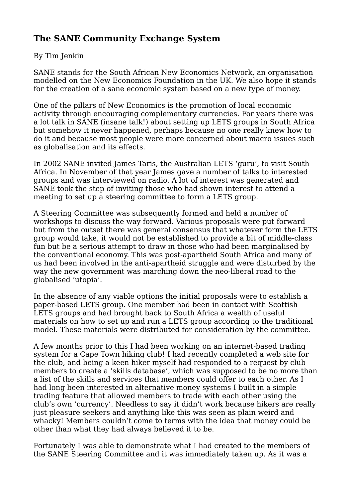# **The SANE Community Exchange System**

## By Tim Jenkin

SANE stands for the South African New Economics Network, an organisation modelled on the New Economics Foundation in the UK. We also hope it stands for the creation of a sane economic system based on a new type of money.

One of the pillars of New Economics is the promotion of local economic activity through encouraging complementary currencies. For years there was a lot talk in SANE (insane talk!) about setting up LETS groups in South Africa but somehow it never happened, perhaps because no one really knew how to do it and because most people were more concerned about macro issues such as globalisation and its effects.

In 2002 SANE invited James Taris, the Australian LETS 'guru', to visit South Africa. In November of that year James gave a number of talks to interested groups and was interviewed on radio. A lot of interest was generated and SANE took the step of inviting those who had shown interest to attend a meeting to set up a steering committee to form a LETS group.

A Steering Committee was subsequently formed and held a number of workshops to discuss the way forward. Various proposals were put forward but from the outset there was general consensus that whatever form the LETS group would take, it would not be established to provide a bit of middle-class fun but be a serious attempt to draw in those who had been marginalised by the conventional economy. This was post-apartheid South Africa and many of us had been involved in the anti-apartheid struggle and were disturbed by the way the new government was marching down the neo-liberal road to the globalised 'utopia'.

In the absence of any viable options the initial proposals were to establish a paper-based LETS group. One member had been in contact with Scottish LETS groups and had brought back to South Africa a wealth of useful materials on how to set up and run a LETS group according to the traditional model. These materials were distributed for consideration by the committee.

A few months prior to this I had been working on an internet-based trading system for a Cape Town hiking club! I had recently completed a web site for the club, and being a keen hiker myself had responded to a request by club members to create a 'skills database', which was supposed to be no more than a list of the skills and services that members could offer to each other. As I had long been interested in alternative money systems I built in a simple trading feature that allowed members to trade with each other using the club's own 'currency'. Needless to say it didn't work because hikers are really just pleasure seekers and anything like this was seen as plain weird and whacky! Members couldn't come to terms with the idea that money could be other than what they had always believed it to be.

Fortunately I was able to demonstrate what I had created to the members of the SANE Steering Committee and it was immediately taken up. As it was a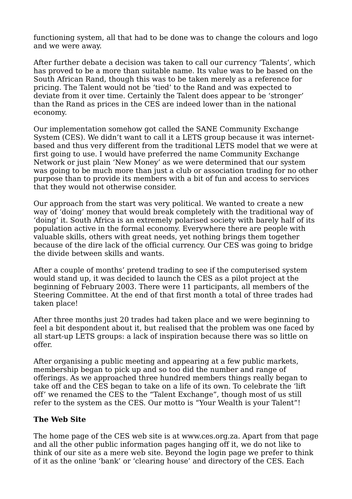functioning system, all that had to be done was to change the colours and logo and we were away.

After further debate a decision was taken to call our currency 'Talents', which has proved to be a more than suitable name. Its value was to be based on the South African Rand, though this was to be taken merely as a reference for pricing. The Talent would not be 'tied' to the Rand and was expected to deviate from it over time. Certainly the Talent does appear to be 'stronger' than the Rand as prices in the CES are indeed lower than in the national economy.

Our implementation somehow got called the SANE Community Exchange System (CES). We didn't want to call it a LETS group because it was internetbased and thus very different from the traditional LETS model that we were at first going to use. I would have preferred the name Community Exchange Network or just plain 'New Money' as we were determined that our system was going to be much more than just a club or association trading for no other purpose than to provide its members with a bit of fun and access to services that they would not otherwise consider.

Our approach from the start was very political. We wanted to create a new way of 'doing' money that would break completely with the traditional way of 'doing' it. South Africa is an extremely polarised society with barely half of its population active in the formal economy. Everywhere there are people with valuable skills, others with great needs, yet nothing brings them together because of the dire lack of the official currency. Our CES was going to bridge the divide between skills and wants.

After a couple of months' pretend trading to see if the computerised system would stand up, it was decided to launch the CES as a pilot project at the beginning of February 2003. There were 11 participants, all members of the Steering Committee. At the end of that first month a total of three trades had taken place!

After three months just 20 trades had taken place and we were beginning to feel a bit despondent about it, but realised that the problem was one faced by all start-up LETS groups: a lack of inspiration because there was so little on offer.

After organising a public meeting and appearing at a few public markets, membership began to pick up and so too did the number and range of offerings. As we approached three hundred members things really began to take off and the CES began to take on a life of its own. To celebrate the 'lift off' we renamed the CES to the "Talent Exchange", though most of us still refer to the system as the CES. Our motto is "Your Wealth is your Talent"!

# **The Web Site**

The home page of the CES web site is at www.ces.org.za. Apart from that page and all the other public information pages hanging off it, we do not like to think of our site as a mere web site. Beyond the login page we prefer to think of it as the online 'bank' or 'clearing house' and directory of the CES. Each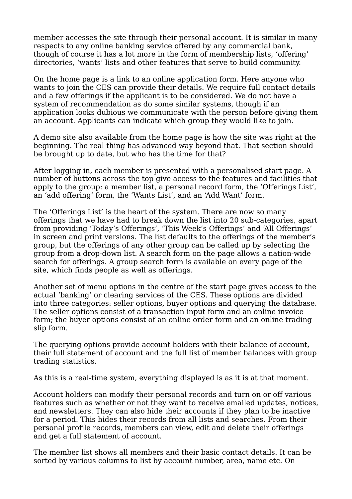member accesses the site through their personal account. It is similar in many respects to any online banking service offered by any commercial bank, though of course it has a lot more in the form of membership lists, 'offering' directories, 'wants' lists and other features that serve to build community.

On the home page is a link to an online application form. Here anyone who wants to join the CES can provide their details. We require full contact details and a few offerings if the applicant is to be considered. We do not have a system of recommendation as do some similar systems, though if an application looks dubious we communicate with the person before giving them an account. Applicants can indicate which group they would like to join.

A demo site also available from the home page is how the site was right at the beginning. The real thing has advanced way beyond that. That section should be brought up to date, but who has the time for that?

After logging in, each member is presented with a personalised start page. A number of buttons across the top give access to the features and facilities that apply to the group: a member list, a personal record form, the 'Offerings List', an 'add offering' form, the 'Wants List', and an 'Add Want' form.

The 'Offerings List' is the heart of the system. There are now so many offerings that we have had to break down the list into 20 sub-categories, apart from providing 'Today's Offerings', 'This Week's Offerings' and 'All Offerings' in screen and print versions. The list defaults to the offerings of the member's group, but the offerings of any other group can be called up by selecting the group from a drop-down list. A search form on the page allows a nation-wide search for offerings. A group search form is available on every page of the site, which finds people as well as offerings.

Another set of menu options in the centre of the start page gives access to the actual 'banking' or clearing services of the CES. These options are divided into three categories: seller options, buyer options and querying the database. The seller options consist of a transaction input form and an online invoice form; the buyer options consist of an online order form and an online trading slip form.

The querying options provide account holders with their balance of account, their full statement of account and the full list of member balances with group trading statistics.

As this is a real-time system, everything displayed is as it is at that moment.

Account holders can modify their personal records and turn on or off various features such as whether or not they want to receive emailed updates, notices, and newsletters. They can also hide their accounts if they plan to be inactive for a period. This hides their records from all lists and searches. From their personal profile records, members can view, edit and delete their offerings and get a full statement of account.

The member list shows all members and their basic contact details. It can be sorted by various columns to list by account number, area, name etc. On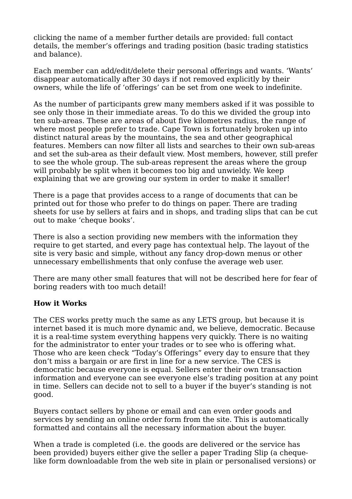clicking the name of a member further details are provided: full contact details, the member's offerings and trading position (basic trading statistics and balance).

Each member can add/edit/delete their personal offerings and wants. 'Wants' disappear automatically after 30 days if not removed explicitly by their owners, while the life of 'offerings' can be set from one week to indefinite.

As the number of participants grew many members asked if it was possible to see only those in their immediate areas. To do this we divided the group into ten sub-areas. These are areas of about five kilometres radius, the range of where most people prefer to trade. Cape Town is fortunately broken up into distinct natural areas by the mountains, the sea and other geographical features. Members can now filter all lists and searches to their own sub-areas and set the sub-area as their default view. Most members, however, still prefer to see the whole group. The sub-areas represent the areas where the group will probably be split when it becomes too big and unwieldy. We keep explaining that we are growing our system in order to make it smaller!

There is a page that provides access to a range of documents that can be printed out for those who prefer to do things on paper. There are trading sheets for use by sellers at fairs and in shops, and trading slips that can be cut out to make 'cheque books'.

There is also a section providing new members with the information they require to get started, and every page has contextual help. The layout of the site is very basic and simple, without any fancy drop-down menus or other unnecessary embellishments that only confuse the average web user.

There are many other small features that will not be described here for fear of boring readers with too much detail!

# **How it Works**

The CES works pretty much the same as any LETS group, but because it is internet based it is much more dynamic and, we believe, democratic. Because it is a real-time system everything happens very quickly. There is no waiting for the administrator to enter your trades or to see who is offering what. Those who are keen check "Today's Offerings" every day to ensure that they don't miss a bargain or are first in line for a new service. The CES is democratic because everyone is equal. Sellers enter their own transaction information and everyone can see everyone else's trading position at any point in time. Sellers can decide not to sell to a buyer if the buyer's standing is not good.

Buyers contact sellers by phone or email and can even order goods and services by sending an online order form from the site. This is automatically formatted and contains all the necessary information about the buyer.

When a trade is completed (i.e. the goods are delivered or the service has been provided) buyers either give the seller a paper Trading Slip (a chequelike form downloadable from the web site in plain or personalised versions) or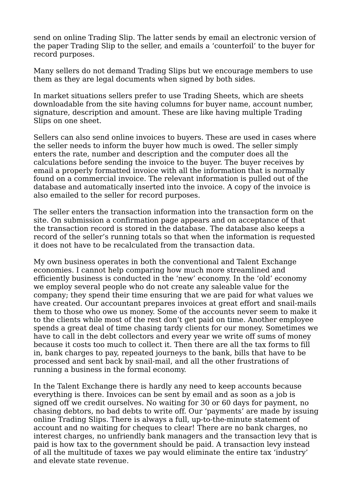send on online Trading Slip. The latter sends by email an electronic version of the paper Trading Slip to the seller, and emails a 'counterfoil' to the buyer for record purposes.

Many sellers do not demand Trading Slips but we encourage members to use them as they are legal documents when signed by both sides.

In market situations sellers prefer to use Trading Sheets, which are sheets downloadable from the site having columns for buyer name, account number, signature, description and amount. These are like having multiple Trading Slips on one sheet.

Sellers can also send online invoices to buyers. These are used in cases where the seller needs to inform the buyer how much is owed. The seller simply enters the rate, number and description and the computer does all the calculations before sending the invoice to the buyer. The buyer receives by email a properly formatted invoice with all the information that is normally found on a commercial invoice. The relevant information is pulled out of the database and automatically inserted into the invoice. A copy of the invoice is also emailed to the seller for record purposes.

The seller enters the transaction information into the transaction form on the site. On submission a confirmation page appears and on acceptance of that the transaction record is stored in the database. The database also keeps a record of the seller's running totals so that when the information is requested it does not have to be recalculated from the transaction data.

My own business operates in both the conventional and Talent Exchange economies. I cannot help comparing how much more streamlined and efficiently business is conducted in the 'new' economy. In the 'old' economy we employ several people who do not create any saleable value for the company; they spend their time ensuring that we are paid for what values we have created. Our accountant prepares invoices at great effort and snail-mails them to those who owe us money. Some of the accounts never seem to make it to the clients while most of the rest don't get paid on time. Another employee spends a great deal of time chasing tardy clients for our money. Sometimes we have to call in the debt collectors and every year we write off sums of money because it costs too much to collect it. Then there are all the tax forms to fill in, bank charges to pay, repeated journeys to the bank, bills that have to be processed and sent back by snail-mail, and all the other frustrations of running a business in the formal economy.

In the Talent Exchange there is hardly any need to keep accounts because everything is there. Invoices can be sent by email and as soon as a job is signed off we credit ourselves. No waiting for 30 or 60 days for payment, no chasing debtors, no bad debts to write off. Our 'payments' are made by issuing online Trading Slips. There is always a full, up-to-the-minute statement of account and no waiting for cheques to clear! There are no bank charges, no interest charges, no unfriendly bank managers and the transaction levy that is paid is how tax to the government should be paid. A transaction levy instead of all the multitude of taxes we pay would eliminate the entire tax 'industry' and elevate state revenue.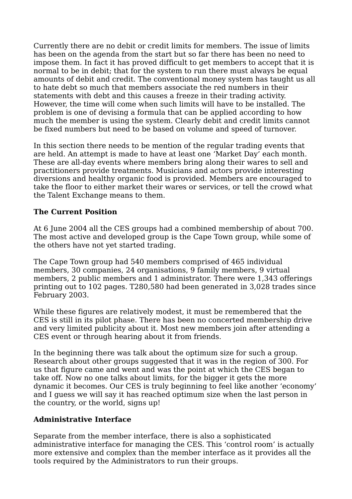Currently there are no debit or credit limits for members. The issue of limits has been on the agenda from the start but so far there has been no need to impose them. In fact it has proved difficult to get members to accept that it is normal to be in debit; that for the system to run there must always be equal amounts of debit and credit. The conventional money system has taught us all to hate debt so much that members associate the red numbers in their statements with debt and this causes a freeze in their trading activity. However, the time will come when such limits will have to be installed. The problem is one of devising a formula that can be applied according to how much the member is using the system. Clearly debit and credit limits cannot be fixed numbers but need to be based on volume and speed of turnover.

In this section there needs to be mention of the regular trading events that are held. An attempt is made to have at least one 'Market Day' each month. These are all-day events where members bring along their wares to sell and practitioners provide treatments. Musicians and actors provide interesting diversions and healthy organic food is provided. Members are encouraged to take the floor to either market their wares or services, or tell the crowd what the Talent Exchange means to them.

# **The Current Position**

At 6 June 2004 all the CES groups had a combined membership of about 700. The most active and developed group is the Cape Town group, while some of the others have not yet started trading.

The Cape Town group had 540 members comprised of 465 individual members, 30 companies, 24 organisations, 9 family members, 9 virtual members, 2 public members and 1 administrator. There were 1,343 offerings printing out to 102 pages. T280,580 had been generated in 3,028 trades since February 2003.

While these figures are relatively modest, it must be remembered that the CES is still in its pilot phase. There has been no concerted membership drive and very limited publicity about it. Most new members join after attending a CES event or through hearing about it from friends.

In the beginning there was talk about the optimum size for such a group. Research about other groups suggested that it was in the region of 300. For us that figure came and went and was the point at which the CES began to take off. Now no one talks about limits, for the bigger it gets the more dynamic it becomes. Our CES is truly beginning to feel like another 'economy' and I guess we will say it has reached optimum size when the last person in the country, or the world, signs up!

#### **Administrative Interface**

Separate from the member interface, there is also a sophisticated administrative interface for managing the CES. This 'control room' is actually more extensive and complex than the member interface as it provides all the tools required by the Administrators to run their groups.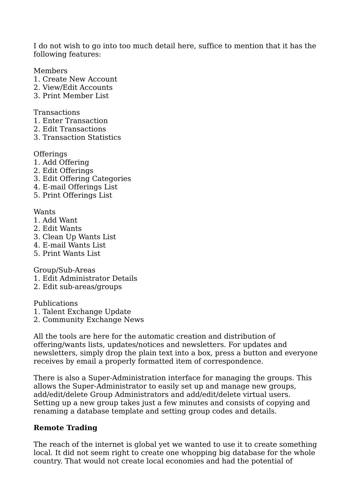I do not wish to go into too much detail here, suffice to mention that it has the following features:

Members

- 1. Create New Account
- 2. View/Edit Accounts
- 3. Print Member List

Transactions

- 1. Enter Transaction
- 2. Edit Transactions
- 3. Transaction Statistics

**Offerings** 

- 1. Add Offering
- 2. Edit Offerings
- 3. Edit Offering Categories
- 4. E-mail Offerings List
- 5. Print Offerings List

Wants

- 1. Add Want
- 2. Edit Wants
- 3. Clean Up Wants List
- 4. E-mail Wants List
- 5. Print Wants List

Group/Sub-Areas

- 1. Edit Administrator Details
- 2. Edit sub-areas/groups

Publications

- 1. Talent Exchange Update
- 2. Community Exchange News

All the tools are here for the automatic creation and distribution of offering/wants lists, updates/notices and newsletters. For updates and newsletters, simply drop the plain text into a box, press a button and everyone receives by email a properly formatted item of correspondence.

There is also a Super-Administration interface for managing the groups. This allows the Super-Administrator to easily set up and manage new groups, add/edit/delete Group Administrators and add/edit/delete virtual users. Setting up a new group takes just a few minutes and consists of copying and renaming a database template and setting group codes and details.

#### **Remote Trading**

The reach of the internet is global yet we wanted to use it to create something local. It did not seem right to create one whopping big database for the whole country. That would not create local economies and had the potential of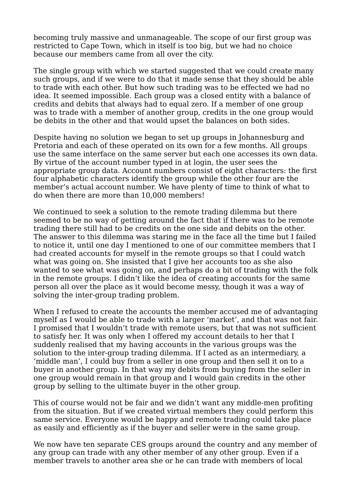becoming truly massive and unmanageable. The scope of our first group was restricted to Cape Town, which in itself is too big, but we had no choice because our members came from all over the city.

The single group with which we started suggested that we could create many such groups, and if we were to do that it made sense that they should be able to trade with each other. But how such trading was to be effected we had no idea. It seemed impossible. Each group was a closed entity with a balance of credits and debits that always had to equal zero. If a member of one group was to trade with a member of another group, credits in the one group would be debits in the other and that would upset the balances on both sides.

Despite having no solution we began to set up groups in Johannesburg and Pretoria and each of these operated on its own for a few months. All groups use the same interface on the same server but each one accesses its own data. By virtue of the account number typed in at login, the user sees the appropriate group data. Account numbers consist of eight characters: the first four alphabetic characters identify the group while the other four are the member's actual account number. We have plenty of time to think of what to do when there are more than 10,000 members!

We continued to seek a solution to the remote trading dilemma but there seemed to be no way of getting around the fact that if there was to be remote trading there still had to be credits on the one side and debits on the other. The answer to this dilemma was staring me in the face all the time but I failed to notice it, until one day I mentioned to one of our committee members that I had created accounts for myself in the remote groups so that I could watch what was going on. She insisted that I give her accounts too as she also wanted to see what was going on, and perhaps do a bit of trading with the folk in the remote groups. I didn't like the idea of creating accounts for the same person all over the place as it would become messy, though it was a way of solving the inter-group trading problem.

When I refused to create the accounts the member accused me of advantaging myself as I would be able to trade with a larger 'market', and that was not fair. I promised that I wouldn't trade with remote users, but that was not sufficient to satisfy her. It was only when I offered my account details to her that I suddenly realised that my having accounts in the various groups was the solution to the inter-group trading dilemma. If I acted as an intermediary, a 'middle man', I could buy from a seller in one group and then sell it on to a buyer in another group. In that way my debits from buying from the seller in one group would remain in that group and I would gain credits in the other group by selling to the ultimate buyer in the other group.

This of course would not be fair and we didn't want any middle-men profiting from the situation. But if we created virtual members they could perform this same service. Everyone would be happy and remote trading could take place as easily and efficiently as if the buyer and seller were in the same group.

We now have ten separate CES groups around the country and any member of any group can trade with any other member of any other group. Even if a member travels to another area she or he can trade with members of local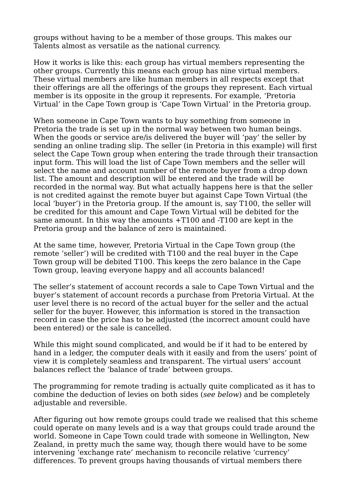groups without having to be a member of those groups. This makes our Talents almost as versatile as the national currency.

How it works is like this: each group has virtual members representing the other groups. Currently this means each group has nine virtual members. These virtual members are like human members in all respects except that their offerings are all the offerings of the groups they represent. Each virtual member is its opposite in the group it represents. For example, 'Pretoria Virtual' in the Cape Town group is 'Cape Town Virtual' in the Pretoria group.

When someone in Cape Town wants to buy something from someone in Pretoria the trade is set up in the normal way between two human beings. When the goods or service are/is delivered the buyer will 'pay' the seller by sending an online trading slip. The seller (in Pretoria in this example) will first select the Cape Town group when entering the trade through their transaction input form. This will load the list of Cape Town members and the seller will select the name and account number of the remote buyer from a drop down list. The amount and description will be entered and the trade will be recorded in the normal way. But what actually happens here is that the seller is not credited against the remote buyer but against Cape Town Virtual (the local 'buyer') in the Pretoria group. If the amount is, say T100, the seller will be credited for this amount and Cape Town Virtual will be debited for the same amount. In this way the amounts +T100 and -T100 are kept in the Pretoria group and the balance of zero is maintained.

At the same time, however, Pretoria Virtual in the Cape Town group (the remote 'seller') will be credited with T100 and the real buyer in the Cape Town group will be debited T100. This keeps the zero balance in the Cape Town group, leaving everyone happy and all accounts balanced!

The seller's statement of account records a sale to Cape Town Virtual and the buyer's statement of account records a purchase from Pretoria Virtual. At the user level there is no record of the actual buyer for the seller and the actual seller for the buyer. However, this information is stored in the transaction record in case the price has to be adjusted (the incorrect amount could have been entered) or the sale is cancelled.

While this might sound complicated, and would be if it had to be entered by hand in a ledger, the computer deals with it easily and from the users' point of view it is completely seamless and transparent. The virtual users' account balances reflect the 'balance of trade' between groups.

The programming for remote trading is actually quite complicated as it has to combine the deduction of levies on both sides (see below) and be completely adjustable and reversible.

After figuring out how remote groups could trade we realised that this scheme could operate on many levels and is a way that groups could trade around the world. Someone in Cape Town could trade with someone in Wellington, New Zealand, in pretty much the same way, though there would have to be some intervening 'exchange rate' mechanism to reconcile relative 'currency' differences. To prevent groups having thousands of virtual members there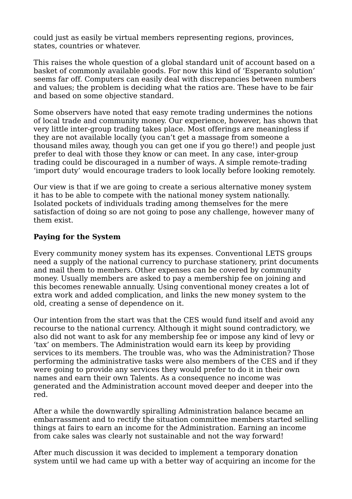could just as easily be virtual members representing regions, provinces, states, countries or whatever.

This raises the whole question of a global standard unit of account based on a basket of commonly available goods. For now this kind of 'Esperanto solution' seems far off. Computers can easily deal with discrepancies between numbers and values; the problem is deciding what the ratios are. These have to be fair and based on some objective standard.

Some observers have noted that easy remote trading undermines the notions of local trade and community money. Our experience, however, has shown that very little inter-group trading takes place. Most offerings are meaningless if they are not available locally (you can't get a massage from someone a thousand miles away, though you can get one if you go there!) and people just prefer to deal with those they know or can meet. In any case, inter-group trading could be discouraged in a number of ways. A simple remote-trading 'import duty' would encourage traders to look locally before looking remotely.

Our view is that if we are going to create a serious alternative money system it has to be able to compete with the national money system nationally. Isolated pockets of individuals trading among themselves for the mere satisfaction of doing so are not going to pose any challenge, however many of them exist.

## **Paying for the System**

Every community money system has its expenses. Conventional LETS groups need a supply of the national currency to purchase stationery, print documents and mail them to members. Other expenses can be covered by community money. Usually members are asked to pay a membership fee on joining and this becomes renewable annually. Using conventional money creates a lot of extra work and added complication, and links the new money system to the old, creating a sense of dependence on it.

Our intention from the start was that the CES would fund itself and avoid any recourse to the national currency. Although it might sound contradictory, we also did not want to ask for any membership fee or impose any kind of levy or 'tax' on members. The Administration would earn its keep by providing services to its members. The trouble was, who was the Administration? Those performing the administrative tasks were also members of the CES and if they were going to provide any services they would prefer to do it in their own names and earn their own Talents. As a consequence no income was generated and the Administration account moved deeper and deeper into the red.

After a while the downwardly spiralling Administration balance became an embarrassment and to rectify the situation committee members started selling things at fairs to earn an income for the Administration. Earning an income from cake sales was clearly not sustainable and not the way forward!

After much discussion it was decided to implement a temporary donation system until we had came up with a better way of acquiring an income for the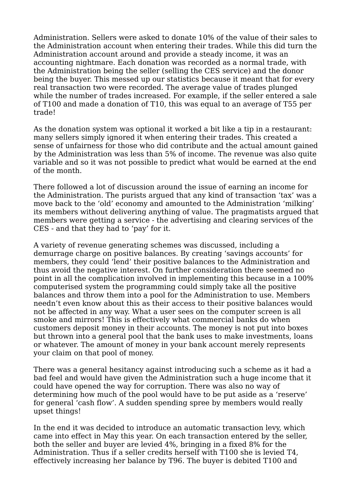Administration. Sellers were asked to donate 10% of the value of their sales to the Administration account when entering their trades. While this did turn the Administration account around and provide a steady income, it was an accounting nightmare. Each donation was recorded as a normal trade, with the Administration being the seller (selling the CES service) and the donor being the buyer. This messed up our statistics because it meant that for every real transaction two were recorded. The average value of trades plunged while the number of trades increased. For example, if the seller entered a sale of T100 and made a donation of T10, this was equal to an average of T55 per trade!

As the donation system was optional it worked a bit like a tip in a restaurant: many sellers simply ignored it when entering their trades. This created a sense of unfairness for those who did contribute and the actual amount gained by the Administration was less than 5% of income. The revenue was also quite variable and so it was not possible to predict what would be earned at the end of the month.

There followed a lot of discussion around the issue of earning an income for the Administration. The purists argued that any kind of transaction 'tax' was a move back to the 'old' economy and amounted to the Administration 'milking' its members without delivering anything of value. The pragmatists argued that members were getting a service - the advertising and clearing services of the CES - and that they had to 'pay' for it.

A variety of revenue generating schemes was discussed, including a demurrage charge on positive balances. By creating 'savings accounts' for members, they could 'lend' their positive balances to the Administration and thus avoid the negative interest. On further consideration there seemed no point in all the complication involved in implementing this because in a 100% computerised system the programming could simply take all the positive balances and throw them into a pool for the Administration to use. Members needn't even know about this as their access to their positive balances would not be affected in any way. What a user sees on the computer screen is all smoke and mirrors! This is effectively what commercial banks do when customers deposit money in their accounts. The money is not put into boxes but thrown into a general pool that the bank uses to make investments, loans or whatever. The amount of money in your bank account merely represents your claim on that pool of money.

There was a general hesitancy against introducing such a scheme as it had a bad feel and would have given the Administration such a huge income that it could have opened the way for corruption. There was also no way of determining how much of the pool would have to be put aside as a 'reserve' for general 'cash flow'. A sudden spending spree by members would really upset things!

In the end it was decided to introduce an automatic transaction levy, which came into effect in May this year. On each transaction entered by the seller, both the seller and buyer are levied 4%, bringing in a fixed 8% for the Administration. Thus if a seller credits herself with T100 she is levied T4, effectively increasing her balance by T96. The buyer is debited T100 and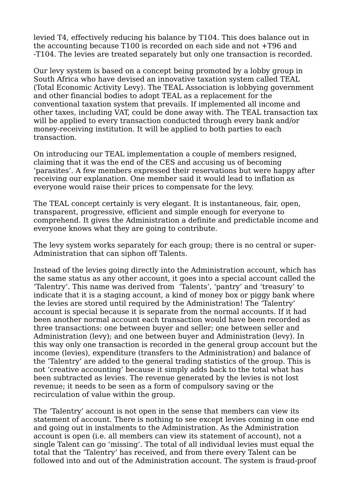levied T4, effectively reducing his balance by T104. This does balance out in the accounting because T100 is recorded on each side and not +T96 and -T104. The levies are treated separately but only one transaction is recorded.

Our levy system is based on a concept being promoted by a lobby group in South Africa who have devised an innovative taxation system called TEAL (Total Economic Activity Levy). The TEAL Association is lobbying government and other financial bodies to adopt TEAL as a replacement for the conventional taxation system that prevails. If implemented all income and other taxes, including VAT, could be done away with. The TEAL transaction tax will be applied to every transaction conducted through every bank and/or money-receiving institution. It will be applied to both parties to each transaction.

On introducing our TEAL implementation a couple of members resigned, claiming that it was the end of the CES and accusing us of becoming 'parasites'. A few members expressed their reservations but were happy after receiving our explanation. One member said it would lead to inflation as everyone would raise their prices to compensate for the levy.

The TEAL concept certainly is very elegant. It is instantaneous, fair, open, transparent, progressive, efficient and simple enough for everyone to comprehend. It gives the Administration a definite and predictable income and everyone knows what they are going to contribute.

The levy system works separately for each group; there is no central or super-Administration that can siphon off Talents.

Instead of the levies going directly into the Administration account, which has the same status as any other account, it goes into a special account called the 'Talentry'. This name was derived from 'Talents', 'pantry' and 'treasury' to indicate that it is a staging account, a kind of money box or piggy bank where the levies are stored until required by the Administration! The 'Talentry' account is special because it is separate from the normal accounts. If it had been another normal account each transaction would have been recorded as three transactions: one between buyer and seller; one between seller and Administration (levy); and one between buyer and Administration (levy). In this way only one transaction is recorded in the general group account but the income (levies), expenditure (transfers to the Administration) and balance of the 'Talentry' are added to the general trading statistics of the group. This is not 'creative accounting' because it simply adds back to the total what has been subtracted as levies. The revenue generated by the levies is not lost revenue; it needs to be seen as a form of compulsory saving or the recirculation of value within the group.

The 'Talentry' account is not open in the sense that members can view its statement of account. There is nothing to see except levies coming in one end and going out in instalments to the Administration. As the Administration account is open (i.e. all members can view its statement of account), not a single Talent can go 'missing'. The total of all individual levies must equal the total that the 'Talentry' has received, and from there every Talent can be followed into and out of the Administration account. The system is fraud-proof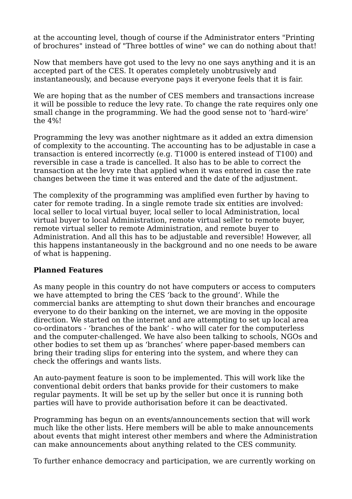at the accounting level, though of course if the Administrator enters "Printing of brochures" instead of "Three bottles of wine" we can do nothing about that!

Now that members have got used to the levy no one says anything and it is an accepted part of the CES. It operates completely unobtrusively and instantaneously, and because everyone pays it everyone feels that it is fair.

We are hoping that as the number of CES members and transactions increase it will be possible to reduce the levy rate. To change the rate requires only one small change in the programming. We had the good sense not to 'hard-wire' the 4%!

Programming the levy was another nightmare as it added an extra dimension of complexity to the accounting. The accounting has to be adjustable in case a transaction is entered incorrectly (e.g. T1000 is entered instead of T100) and reversible in case a trade is cancelled. It also has to be able to correct the transaction at the levy rate that applied when it was entered in case the rate changes between the time it was entered and the date of the adjustment.

The complexity of the programming was amplified even further by having to cater for remote trading. In a single remote trade six entities are involved: local seller to local virtual buyer, local seller to local Administration, local virtual buyer to local Administration, remote virtual seller to remote buyer, remote virtual seller to remote Administration, and remote buyer to Administration. And all this has to be adjustable and reversible! However, all this happens instantaneously in the background and no one needs to be aware of what is happening.

#### **Planned Features**

As many people in this country do not have computers or access to computers we have attempted to bring the CES 'back to the ground'. While the commercial banks are attempting to shut down their branches and encourage everyone to do their banking on the internet, we are moving in the opposite direction. We started on the internet and are attempting to set up local area co-ordinators - 'branches of the bank' - who will cater for the computerless and the computer-challenged. We have also been talking to schools, NGOs and other bodies to set them up as 'branches' where paper-based members can bring their trading slips for entering into the system, and where they can check the offerings and wants lists.

An auto-payment feature is soon to be implemented. This will work like the conventional debit orders that banks provide for their customers to make regular payments. It will be set up by the seller but once it is running both parties will have to provide authorisation before it can be deactivated.

Programming has begun on an events/announcements section that will work much like the other lists. Here members will be able to make announcements about events that might interest other members and where the Administration can make announcements about anything related to the CES community.

To further enhance democracy and participation, we are currently working on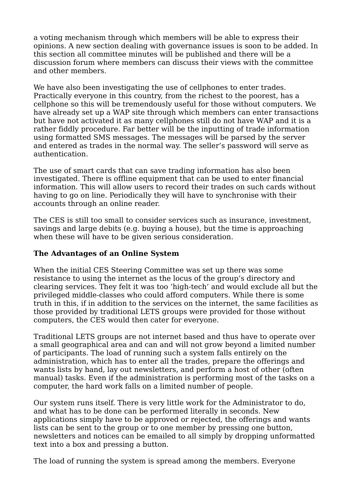a voting mechanism through which members will be able to express their opinions. A new section dealing with governance issues is soon to be added. In this section all committee minutes will be published and there will be a discussion forum where members can discuss their views with the committee and other members.

We have also been investigating the use of cellphones to enter trades. Practically everyone in this country, from the richest to the poorest, has a cellphone so this will be tremendously useful for those without computers. We have already set up a WAP site through which members can enter transactions but have not activated it as many cellphones still do not have WAP and it is a rather fiddly procedure. Far better will be the inputting of trade information using formatted SMS messages. The messages will be parsed by the server and entered as trades in the normal way. The seller's password will serve as authentication.

The use of smart cards that can save trading information has also been investigated. There is offline equipment that can be used to enter financial information. This will allow users to record their trades on such cards without having to go on line. Periodically they will have to synchronise with their accounts through an online reader.

The CES is still too small to consider services such as insurance, investment, savings and large debits (e.g. buying a house), but the time is approaching when these will have to be given serious consideration.

# **The Advantages of an Online System**

When the initial CES Steering Committee was set up there was some resistance to using the internet as the locus of the group's directory and clearing services. They felt it was too 'high-tech' and would exclude all but the privileged middle-classes who could afford computers. While there is some truth in this, if in addition to the services on the internet, the same facilities as those provided by traditional LETS groups were provided for those without computers, the CES would then cater for everyone.

Traditional LETS groups are not internet based and thus have to operate over a small geographical area and can and will not grow beyond a limited number of participants. The load of running such a system falls entirely on the administration, which has to enter all the trades, prepare the offerings and wants lists by hand, lay out newsletters, and perform a host of other (often manual) tasks. Even if the administration is performing most of the tasks on a computer, the hard work falls on a limited number of people.

Our system runs itself. There is very little work for the Administrator to do, and what has to be done can be performed literally in seconds. New applications simply have to be approved or rejected, the offerings and wants lists can be sent to the group or to one member by pressing one button, newsletters and notices can be emailed to all simply by dropping unformatted text into a box and pressing a button.

The load of running the system is spread among the members. Everyone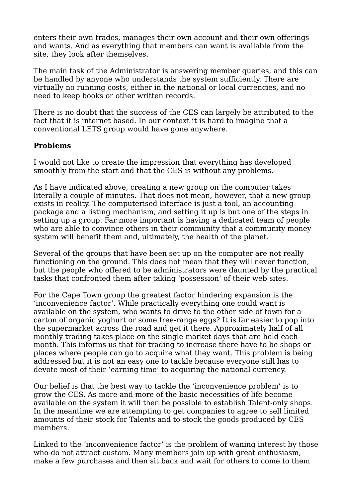enters their own trades, manages their own account and their own offerings and wants. And as everything that members can want is available from the site, they look after themselves.

The main task of the Administrator is answering member queries, and this can be handled by anyone who understands the system sufficiently. There are virtually no running costs, either in the national or local currencies, and no need to keep books or other written records.

There is no doubt that the success of the CES can largely be attributed to the fact that it is internet based. In our context it is hard to imagine that a conventional LETS group would have gone anywhere.

## **Problems**

I would not like to create the impression that everything has developed smoothly from the start and that the CES is without any problems.

As I have indicated above, creating a new group on the computer takes literally a couple of minutes. That does not mean, however, that a new group exists in reality. The computerised interface is just a tool, an accounting package and a listing mechanism, and setting it up is but one of the steps in setting up a group. Far more important is having a dedicated team of people who are able to convince others in their community that a community money system will benefit them and, ultimately, the health of the planet.

Several of the groups that have been set up on the computer are not really functioning on the ground. This does not mean that they will never function, but the people who offered to be administrators were daunted by the practical tasks that confronted them after taking 'possession' of their web sites.

For the Cape Town group the greatest factor hindering expansion is the 'inconvenience factor'. While practically everything one could want is available on the system, who wants to drive to the other side of town for a carton of organic yoghurt or some free-range eggs? It is far easier to pop into the supermarket across the road and get it there. Approximately half of all monthly trading takes place on the single market days that are held each month. This informs us that for trading to increase there have to be shops or places where people can go to acquire what they want. This problem is being addressed but it is not an easy one to tackle because everyone still has to devote most of their 'earning time' to acquiring the national currency.

Our belief is that the best way to tackle the 'inconvenience problem' is to grow the CES. As more and more of the basic necessities of life become available on the system it will then be possible to establish Talent-only shops. In the meantime we are attempting to get companies to agree to sell limited amounts of their stock for Talents and to stock the goods produced by CES members.

Linked to the 'inconvenience factor' is the problem of waning interest by those who do not attract custom. Many members join up with great enthusiasm, make a few purchases and then sit back and wait for others to come to them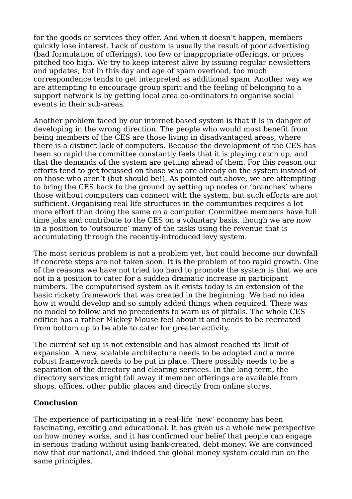for the goods or services they offer. And when it doesn't happen, members quickly lose interest. Lack of custom is usually the result of poor advertising (bad formulation of offerings), too few or inappropriate offerings, or prices pitched too high. We try to keep interest alive by issuing regular newsletters and updates, but in this day and age of spam overload, too much correspondence tends to get interpreted as additional spam. Another way we are attempting to encourage group spirit and the feeling of belonging to a support network is by getting local area co-ordinators to organise social events in their sub-areas.

Another problem faced by our internet-based system is that it is in danger of developing in the wrong direction. The people who would most benefit from being members of the CES are those living in disadvantaged areas, where there is a distinct lack of computers. Because the development of the CES has been so rapid the committee constantly feels that it is playing catch up, and that the demands of the system are getting ahead of them. For this reason our efforts tend to get focussed on those who are already on the system instead of on those who aren't (but should be!). As pointed out above, we are attempting to bring the CES back to the ground by setting up nodes or 'branches' where those without computers can connect with the system, but such efforts are not sufficient. Organising real life structures in the communities requires a lot more effort than doing the same on a computer. Committee members have full time jobs and contribute to the CES on a voluntary basis, though we are now in a position to 'outsource' many of the tasks using the revenue that is accumulating through the recently-introduced levy system.

The most serious problem is not a problem yet, but could become our downfall if concrete steps are not taken soon. It is the problem of too rapid growth. One of the reasons we have not tried too hard to promote the system is that we are not in a position to cater for a sudden dramatic increase in participant numbers. The computerised system as it exists today is an extension of the basic rickety framework that was created in the beginning. We had no idea how it would develop and so simply added things when required. There was no model to follow and no precedents to warn us of pitfalls. The whole CES edifice has a rather Mickey Mouse feel about it and needs to be recreated from bottom up to be able to cater for greater activity.

The current set up is not extensible and has almost reached its limit of expansion. A new, scalable architecture needs to be adopted and a more robust framework needs to be put in place. There possibly needs to be a separation of the directory and clearing services. In the long term, the directory services might fall away if member offerings are available from shops, offices, other public places and directly from online stores.

# **Conclusion**

The experience of participating in a real-life 'new' economy has been fascinating, exciting and educational. It has given us a whole new perspective on how money works, and it has confirmed our belief that people can engage in serious trading without using bank-created, debt money. We are convinced now that our national, and indeed the global money system could run on the same principles.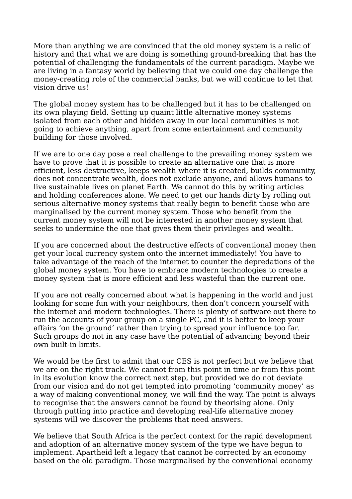More than anything we are convinced that the old money system is a relic of history and that what we are doing is something ground-breaking that has the potential of challenging the fundamentals of the current paradigm. Maybe we are living in a fantasy world by believing that we could one day challenge the money-creating role of the commercial banks, but we will continue to let that vision drive us!

The global money system has to be challenged but it has to be challenged on its own playing field. Setting up quaint little alternative money systems isolated from each other and hidden away in our local communities is not going to achieve anything, apart from some entertainment and community building for those involved.

If we are to one day pose a real challenge to the prevailing money system we have to prove that it is possible to create an alternative one that is more efficient, less destructive, keeps wealth where it is created, builds community, does not concentrate wealth, does not exclude anyone, and allows humans to live sustainable lives on planet Earth. We cannot do this by writing articles and holding conferences alone. We need to get our hands dirty by rolling out serious alternative money systems that really begin to benefit those who are marginalised by the current money system. Those who benefit from the current money system will not be interested in another money system that seeks to undermine the one that gives them their privileges and wealth.

If you are concerned about the destructive effects of conventional money then get your local currency system onto the internet immediately! You have to take advantage of the reach of the internet to counter the depredations of the global money system. You have to embrace modern technologies to create a money system that is more efficient and less wasteful than the current one.

If you are not really concerned about what is happening in the world and just looking for some fun with your neighbours, then don't concern yourself with the internet and modern technologies. There is plenty of software out there to run the accounts of your group on a single PC, and it is better to keep your affairs 'on the ground' rather than trying to spread your influence too far. Such groups do not in any case have the potential of advancing beyond their own built-in limits.

We would be the first to admit that our CES is not perfect but we believe that we are on the right track. We cannot from this point in time or from this point in its evolution know the correct next step, but provided we do not deviate from our vision and do not get tempted into promoting 'community money' as a way of making conventional money, we will find the way. The point is always to recognise that the answers cannot be found by theorising alone. Only through putting into practice and developing real-life alternative money systems will we discover the problems that need answers.

We believe that South Africa is the perfect context for the rapid development and adoption of an alternative money system of the type we have begun to implement. Apartheid left a legacy that cannot be corrected by an economy based on the old paradigm. Those marginalised by the conventional economy